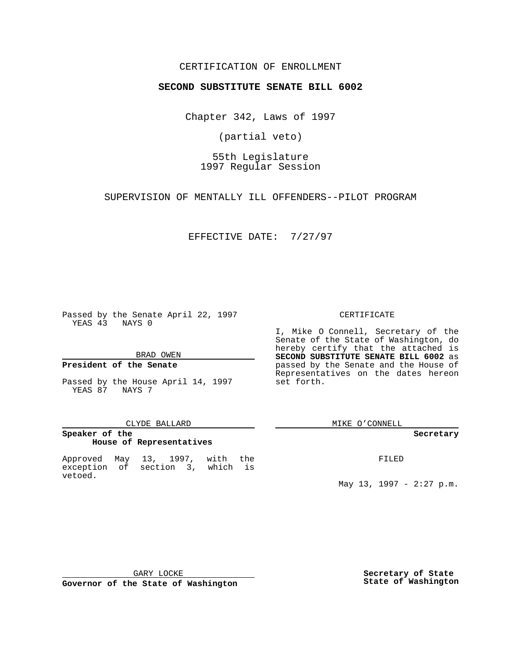### CERTIFICATION OF ENROLLMENT

# **SECOND SUBSTITUTE SENATE BILL 6002**

Chapter 342, Laws of 1997

(partial veto)

55th Legislature 1997 Regular Session

SUPERVISION OF MENTALLY ILL OFFENDERS--PILOT PROGRAM

EFFECTIVE DATE: 7/27/97

Passed by the Senate April 22, 1997 YEAS 43 NAYS 0

BRAD OWEN

#### **President of the Senate**

Passed by the House April 14, 1997 YEAS 87 NAYS 7

#### CLYDE BALLARD

## **Speaker of the House of Representatives**

Approved May 13, 1997, with the exception of section 3, which is vetoed.

#### CERTIFICATE

I, Mike O Connell, Secretary of the Senate of the State of Washington, do hereby certify that the attached is **SECOND SUBSTITUTE SENATE BILL 6002** as passed by the Senate and the House of Representatives on the dates hereon set forth.

MIKE O'CONNELL

#### **Secretary**

FILED

May 13, 1997 - 2:27 p.m.

GARY LOCKE

**Governor of the State of Washington**

**Secretary of State State of Washington**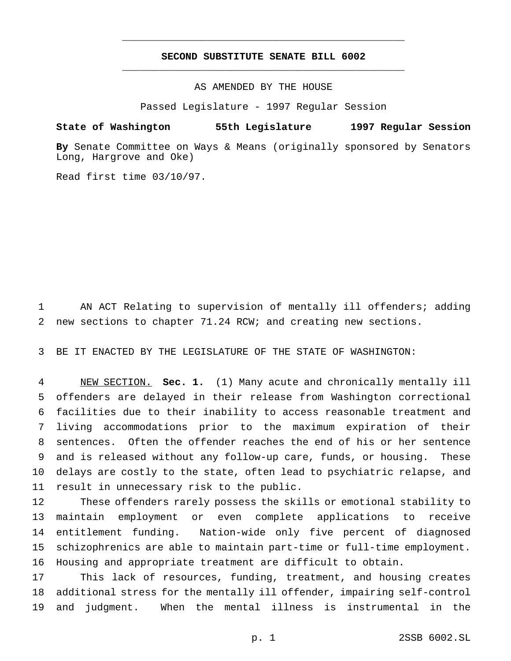## **SECOND SUBSTITUTE SENATE BILL 6002** \_\_\_\_\_\_\_\_\_\_\_\_\_\_\_\_\_\_\_\_\_\_\_\_\_\_\_\_\_\_\_\_\_\_\_\_\_\_\_\_\_\_\_\_\_\_\_

\_\_\_\_\_\_\_\_\_\_\_\_\_\_\_\_\_\_\_\_\_\_\_\_\_\_\_\_\_\_\_\_\_\_\_\_\_\_\_\_\_\_\_\_\_\_\_

AS AMENDED BY THE HOUSE

Passed Legislature - 1997 Regular Session

### **State of Washington 55th Legislature 1997 Regular Session**

**By** Senate Committee on Ways & Means (originally sponsored by Senators Long, Hargrove and Oke)

Read first time 03/10/97.

 AN ACT Relating to supervision of mentally ill offenders; adding new sections to chapter 71.24 RCW; and creating new sections.

BE IT ENACTED BY THE LEGISLATURE OF THE STATE OF WASHINGTON:

 NEW SECTION. **Sec. 1.** (1) Many acute and chronically mentally ill offenders are delayed in their release from Washington correctional facilities due to their inability to access reasonable treatment and living accommodations prior to the maximum expiration of their sentences. Often the offender reaches the end of his or her sentence and is released without any follow-up care, funds, or housing. These delays are costly to the state, often lead to psychiatric relapse, and result in unnecessary risk to the public.

 These offenders rarely possess the skills or emotional stability to maintain employment or even complete applications to receive entitlement funding. Nation-wide only five percent of diagnosed schizophrenics are able to maintain part-time or full-time employment. Housing and appropriate treatment are difficult to obtain.

 This lack of resources, funding, treatment, and housing creates additional stress for the mentally ill offender, impairing self-control and judgment. When the mental illness is instrumental in the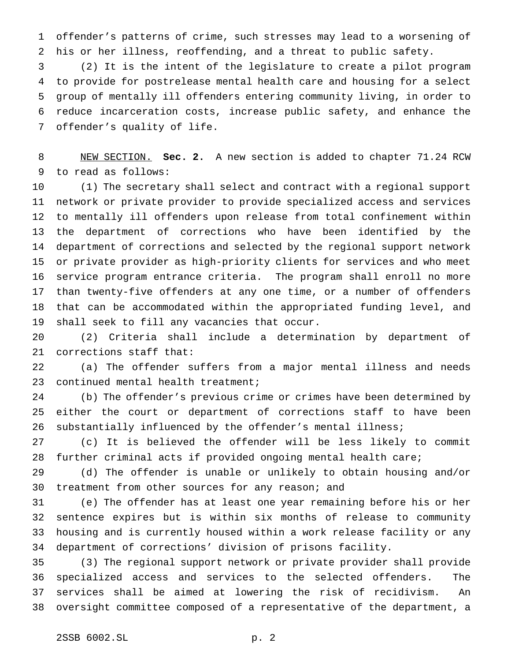offender's patterns of crime, such stresses may lead to a worsening of his or her illness, reoffending, and a threat to public safety.

 (2) It is the intent of the legislature to create a pilot program to provide for postrelease mental health care and housing for a select group of mentally ill offenders entering community living, in order to reduce incarceration costs, increase public safety, and enhance the offender's quality of life.

 NEW SECTION. **Sec. 2.** A new section is added to chapter 71.24 RCW to read as follows:

 (1) The secretary shall select and contract with a regional support network or private provider to provide specialized access and services to mentally ill offenders upon release from total confinement within the department of corrections who have been identified by the department of corrections and selected by the regional support network or private provider as high-priority clients for services and who meet service program entrance criteria. The program shall enroll no more than twenty-five offenders at any one time, or a number of offenders that can be accommodated within the appropriated funding level, and shall seek to fill any vacancies that occur.

 (2) Criteria shall include a determination by department of corrections staff that:

 (a) The offender suffers from a major mental illness and needs 23 continued mental health treatment;

 (b) The offender's previous crime or crimes have been determined by either the court or department of corrections staff to have been substantially influenced by the offender's mental illness;

 (c) It is believed the offender will be less likely to commit further criminal acts if provided ongoing mental health care;

 (d) The offender is unable or unlikely to obtain housing and/or treatment from other sources for any reason; and

 (e) The offender has at least one year remaining before his or her sentence expires but is within six months of release to community housing and is currently housed within a work release facility or any department of corrections' division of prisons facility.

 (3) The regional support network or private provider shall provide specialized access and services to the selected offenders. The services shall be aimed at lowering the risk of recidivism. An oversight committee composed of a representative of the department, a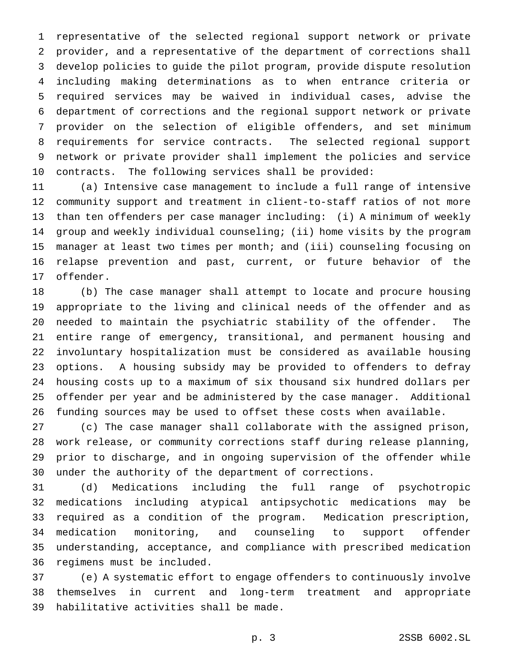representative of the selected regional support network or private provider, and a representative of the department of corrections shall develop policies to guide the pilot program, provide dispute resolution including making determinations as to when entrance criteria or required services may be waived in individual cases, advise the department of corrections and the regional support network or private provider on the selection of eligible offenders, and set minimum requirements for service contracts. The selected regional support network or private provider shall implement the policies and service contracts. The following services shall be provided:

 (a) Intensive case management to include a full range of intensive community support and treatment in client-to-staff ratios of not more than ten offenders per case manager including: (i) A minimum of weekly group and weekly individual counseling; (ii) home visits by the program manager at least two times per month; and (iii) counseling focusing on relapse prevention and past, current, or future behavior of the offender.

 (b) The case manager shall attempt to locate and procure housing appropriate to the living and clinical needs of the offender and as needed to maintain the psychiatric stability of the offender. The entire range of emergency, transitional, and permanent housing and involuntary hospitalization must be considered as available housing options. A housing subsidy may be provided to offenders to defray housing costs up to a maximum of six thousand six hundred dollars per offender per year and be administered by the case manager. Additional funding sources may be used to offset these costs when available.

 (c) The case manager shall collaborate with the assigned prison, work release, or community corrections staff during release planning, prior to discharge, and in ongoing supervision of the offender while under the authority of the department of corrections.

 (d) Medications including the full range of psychotropic medications including atypical antipsychotic medications may be required as a condition of the program. Medication prescription, medication monitoring, and counseling to support offender understanding, acceptance, and compliance with prescribed medication regimens must be included.

 (e) A systematic effort to engage offenders to continuously involve themselves in current and long-term treatment and appropriate habilitative activities shall be made.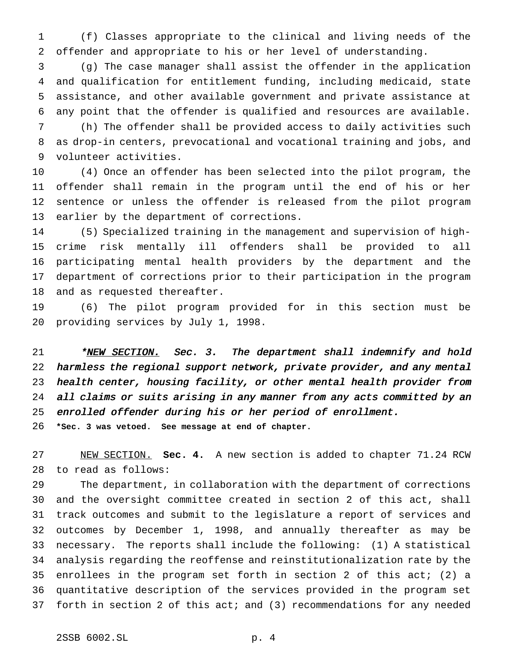(f) Classes appropriate to the clinical and living needs of the offender and appropriate to his or her level of understanding.

 (g) The case manager shall assist the offender in the application and qualification for entitlement funding, including medicaid, state assistance, and other available government and private assistance at any point that the offender is qualified and resources are available.

 (h) The offender shall be provided access to daily activities such as drop-in centers, prevocational and vocational training and jobs, and volunteer activities.

 (4) Once an offender has been selected into the pilot program, the offender shall remain in the program until the end of his or her sentence or unless the offender is released from the pilot program earlier by the department of corrections.

 (5) Specialized training in the management and supervision of high- crime risk mentally ill offenders shall be provided to all participating mental health providers by the department and the department of corrections prior to their participation in the program and as requested thereafter.

 (6) The pilot program provided for in this section must be providing services by July 1, 1998.

21 \*<u>NEW SECTION.</u> Sec. 3. The department shall indemnify and hold harmless the regional support network, private provider, and any mental health center, housing facility, or other mental health provider from all claims or suits arising in any manner from any acts committed by an enrolled offender during his or her period of enrollment.

**\*Sec. 3 was vetoed. See message at end of chapter.**

 NEW SECTION. **Sec. 4.** A new section is added to chapter 71.24 RCW to read as follows:

 The department, in collaboration with the department of corrections and the oversight committee created in section 2 of this act, shall track outcomes and submit to the legislature a report of services and outcomes by December 1, 1998, and annually thereafter as may be necessary. The reports shall include the following: (1) A statistical analysis regarding the reoffense and reinstitutionalization rate by the enrollees in the program set forth in section 2 of this act; (2) a quantitative description of the services provided in the program set forth in section 2 of this act; and (3) recommendations for any needed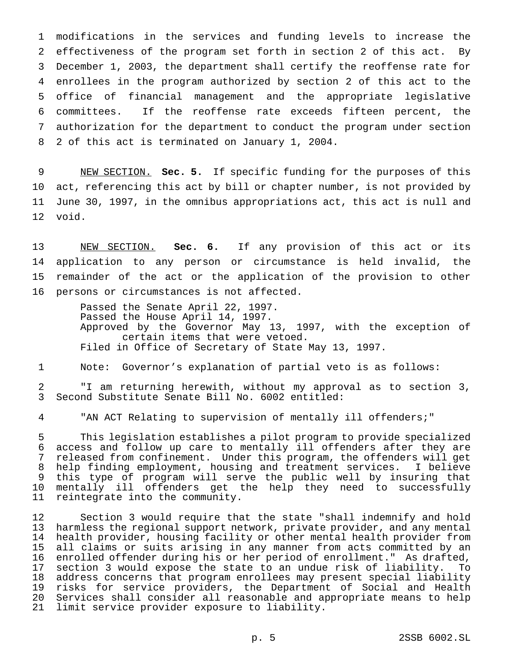modifications in the services and funding levels to increase the effectiveness of the program set forth in section 2 of this act. By December 1, 2003, the department shall certify the reoffense rate for enrollees in the program authorized by section 2 of this act to the office of financial management and the appropriate legislative committees. If the reoffense rate exceeds fifteen percent, the authorization for the department to conduct the program under section 2 of this act is terminated on January 1, 2004.

 NEW SECTION. **Sec. 5.** If specific funding for the purposes of this act, referencing this act by bill or chapter number, is not provided by June 30, 1997, in the omnibus appropriations act, this act is null and void.

 NEW SECTION. **Sec. 6.** If any provision of this act or its application to any person or circumstance is held invalid, the remainder of the act or the application of the provision to other persons or circumstances is not affected.

> Passed the Senate April 22, 1997. Passed the House April 14, 1997. Approved by the Governor May 13, 1997, with the exception of certain items that were vetoed. Filed in Office of Secretary of State May 13, 1997.

Note: Governor's explanation of partial veto is as follows:

 "I am returning herewith, without my approval as to section 3, Second Substitute Senate Bill No. 6002 entitled:

"AN ACT Relating to supervision of mentally ill offenders;"

 This legislation establishes a pilot program to provide specialized access and follow up care to mentally ill offenders after they are released from confinement. Under this program, the offenders will get help finding employment, housing and treatment services. I believe this type of program will serve the public well by insuring that mentally ill offenders get the help they need to successfully reintegrate into the community.

 Section 3 would require that the state "shall indemnify and hold harmless the regional support network, private provider, and any mental health provider, housing facility or other mental health provider from all claims or suits arising in any manner from acts committed by an enrolled offender during his or her period of enrollment." As drafted, section 3 would expose the state to an undue risk of liability. To address concerns that program enrollees may present special liability risks for service providers, the Department of Social and Health Services shall consider all reasonable and appropriate means to help limit service provider exposure to liability.